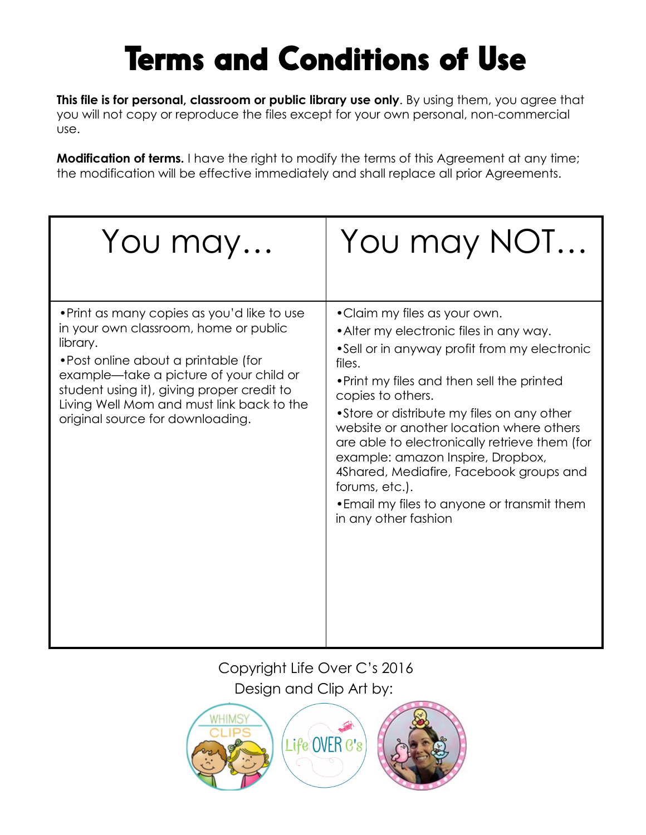## Terms and Conditions of Use

**This file is for personal, classroom or public library use only.** By using them, you agree that you will not copy or reproduce the files except for your own personal, non-commercial use.

**Modification of terms.** I have the right to modify the terms of this Agreement at any time; the modification will be effective immediately and shall replace all prior Agreements.

| You may                                                                                                                                                                                                                                                                                                            | You may NOT                                                                                                                                                                                                                                                                                                                                                                                                                                                                                                               |
|--------------------------------------------------------------------------------------------------------------------------------------------------------------------------------------------------------------------------------------------------------------------------------------------------------------------|---------------------------------------------------------------------------------------------------------------------------------------------------------------------------------------------------------------------------------------------------------------------------------------------------------------------------------------------------------------------------------------------------------------------------------------------------------------------------------------------------------------------------|
| • Print as many copies as you'd like to use<br>in your own classroom, home or public<br>library.<br>• Post online about a printable (for<br>example—take a picture of your child or<br>student using it), giving proper credit to<br>Living Well Mom and must link back to the<br>original source for downloading. | • Claim my files as your own.<br>• Alter my electronic files in any way.<br>•Sell or in anyway profit from my electronic<br>files.<br>. Print my files and then sell the printed<br>copies to others.<br>•Store or distribute my files on any other<br>website or another location where others<br>are able to electronically retrieve them (for<br>example: amazon Inspire, Dropbox,<br>4Shared, Mediafire, Facebook groups and<br>forums, etc.).<br>• Email my files to anyone or transmit them<br>in any other fashion |

Copyright Life Over C's 2016 Design and Clip Art by: